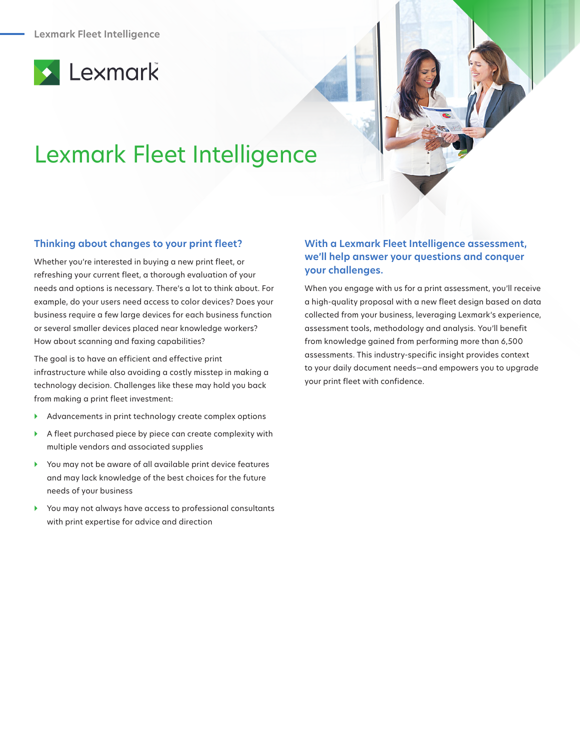



# Lexmark Fleet Intelligence

#### **Thinking about changes to your print fleet?**

Whether you're interested in buying a new print fleet, or refreshing your current fleet, a thorough evaluation of your needs and options is necessary. There's a lot to think about. For example, do your users need access to color devices? Does your business require a few large devices for each business function or several smaller devices placed near knowledge workers? How about scanning and faxing capabilities?

The goal is to have an efficient and effective print infrastructure while also avoiding a costly misstep in making a technology decision. Challenges like these may hold you back from making a print fleet investment:

- } Advancements in print technology create complex options
- $\blacktriangleright$  A fleet purchased piece by piece can create complexity with multiple vendors and associated supplies
- } You may not be aware of all available print device features and may lack knowledge of the best choices for the future needs of your business
- } You may not always have access to professional consultants with print expertise for advice and direction

# **With a Lexmark Fleet Intelligence assessment, we'll help answer your questions and conquer your challenges.**

When you engage with us for a print assessment, you'll receive a high-quality proposal with a new fleet design based on data collected from your business, leveraging Lexmark's experience, assessment tools, methodology and analysis. You'll benefit from knowledge gained from performing more than 6,500 assessments. This industry-specific insight provides context to your daily document needs—and empowers you to upgrade your print fleet with confidence.